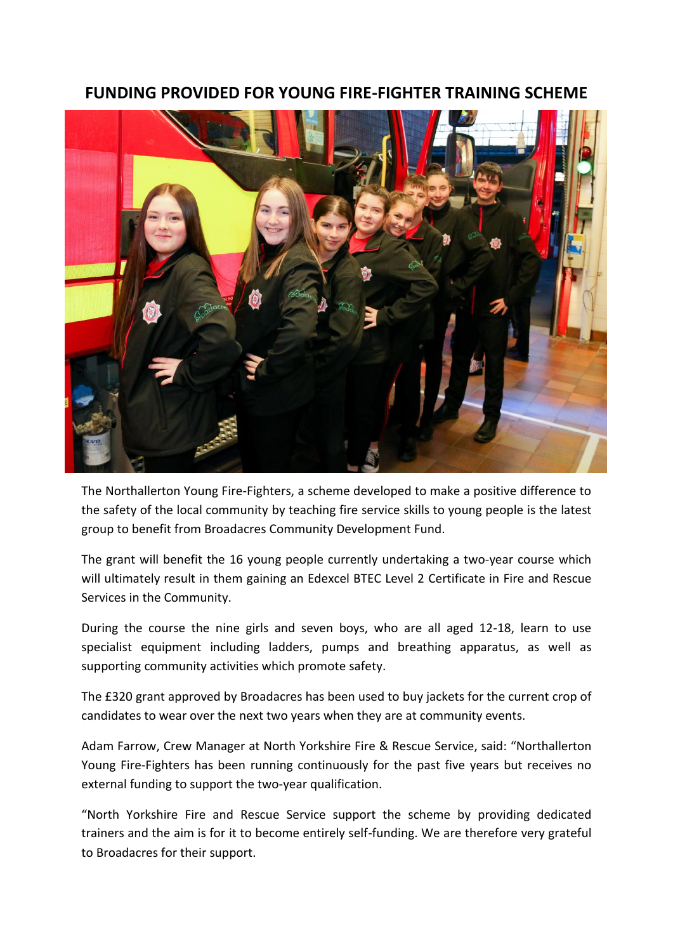## **FUNDING PROVIDED FOR YOUNG FIRE-FIGHTER TRAINING SCHEME**



The Northallerton Young Fire-Fighters, a scheme developed to make a positive difference to the safety of the local community by teaching fire service skills to young people is the latest group to benefit from Broadacres Community Development Fund.

The grant will benefit the 16 young people currently undertaking a two-year course which will ultimately result in them gaining an Edexcel BTEC Level 2 Certificate in Fire and Rescue Services in the Community.

During the course the nine girls and seven boys, who are all aged 12-18, learn to use specialist equipment including ladders, pumps and breathing apparatus, as well as supporting community activities which promote safety.

The £320 grant approved by Broadacres has been used to buy jackets for the current crop of candidates to wear over the next two years when they are at community events.

Adam Farrow, Crew Manager at North Yorkshire Fire & Rescue Service, said: "Northallerton Young Fire-Fighters has been running continuously for the past five years but receives no external funding to support the two-year qualification.

"North Yorkshire Fire and Rescue Service support the scheme by providing dedicated trainers and the aim is for it to become entirely self-funding. We are therefore very grateful to Broadacres for their support.